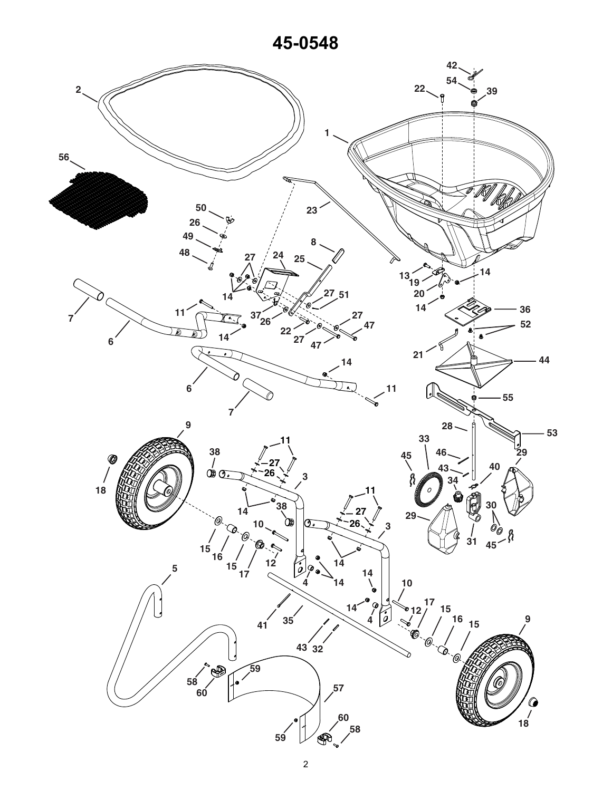